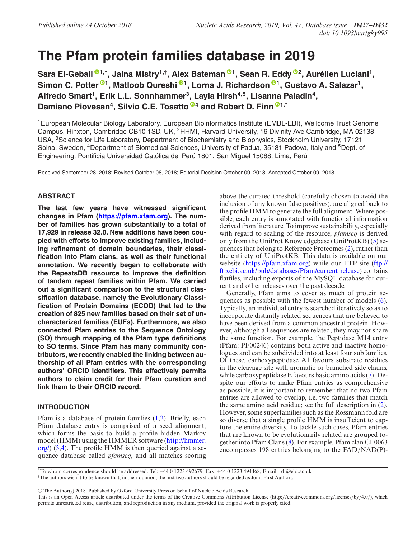# **The Pfam protein families database in 2019**

**Sara El-Gebali [1](http://orcid.org/0000-0003-1378-5495),***†***, Jaina Mistry1,***†***, Alex Bateman [1](http://orcid.org/0000-0002-6982-4660), Sean R. Eddy [2](http://orcid.org/0000-0001-6676-4706), Aurelien Luciani ´ 1, Simon C. Potter [1](http://orcid.org/0000-0003-4208-4102), Matloob Qureshi [1](http://orcid.org/0000-0003-2208-4236), Lorna J. Richardson [1](http://orcid.org/0000-0002-3655-5660), Gustavo A. Salazar1,** Alfredo Smart<sup>1</sup>, Erik L.L. Sonnhammer<sup>3</sup>, Layla Hirsh<sup>4,5</sup>, Lisanna Paladin<sup>4</sup>, **Damiano Piovesan4, Silvio C.E. Tosatto [4](http://orcid.org/0000-0003-4525-7793) and Robert D. Finn [1](http://orcid.org/0000-0001-8626-2148),\***

1European Molecular Biology Laboratory, European Bioinformatics Institute (EMBL-EBI), Wellcome Trust Genome Campus, Hinxton, Cambridge CB10 1SD, UK, 2HHMI, Harvard University, 16 Divinity Ave Cambridge, MA 02138 USA, 3Science for Life Laboratory, Department of Biochemistry and Biophysics, Stockholm University, 17121 Solna, Sweden, <sup>4</sup>Department of Biomedical Sciences, University of Padua, 35131 Padova, Italy and <sup>5</sup>Dept. of Engineering, Pontificia Universidad Católica del Perú 1801, San Miguel 15088, Lima, Perú

Received September 28, 2018; Revised October 08, 2018; Editorial Decision October 09, 2018; Accepted October 09, 2018

## **ABSTRACT**

**The last few years have witnessed significant changes in Pfam [\(https://pfam.xfam.org\)](https://pfam.xfam.org). The number of families has grown substantially to a total of 17,929 in release 32.0. New additions have been coupled with efforts to improve existing families, including refinement of domain boundaries, their classification into Pfam clans, as well as their functional annotation. We recently began to collaborate with the RepeatsDB resource to improve the definition of tandem repeat families within Pfam. We carried out a significant comparison to the structural classification database, namely the Evolutionary Classification of Protein Domains (ECOD) that led to the creation of 825 new families based on their set of uncharacterized families (EUFs). Furthermore, we also connected Pfam entries to the Sequence Ontology (SO) through mapping of the Pfam type definitions to SO terms. Since Pfam has many community contributors, we recently enabled the linking between authorship of all Pfam entries with the corresponding authors' ORCID identifiers. This effectively permits authors to claim credit for their Pfam curation and link them to their ORCID record.**

## **INTRODUCTION**

Pfam is a database of protein families  $(1,2)$  $(1,2)$ . Briefly, each Pfam database entry is comprised of a seed alignment, which forms the basis to build a profile hidden Markov model (HMM) using the HMMER software (http://hmmer. [org/\) \(3,4\). The profile HMM is then queried against a se](http://hmmer.org/)quence database called *pfamseq*, and all matches scoring above the curated threshold (carefully chosen to avoid the inclusion of any known false positives), are aligned back to the profile HMM to generate the full alignment. Where possible, each entry is annotated with functional information derived from literature. To improve sustainability, especially with regard to scaling of the resource, *pfamseq* is derived only from the UniProt Knowledgebase (UniProtKB) [\(5\)](#page-5-0) sequences that belong to Reference Proteomes [\(2\)](#page-5-0), rather than the entirety of UniProtKB. This data is available on our [website \(](ftp://ftp.ebi.ac.uk/pub/databases/Pfam/current_release)<https://pfam.xfam.org>[\) while our FTP site \(ftp://](ftp://ftp.ebi.ac.uk/pub/databases/Pfam/current_release) ftp.ebi.ac.uk/pub/databases/Pfam/current release) contains flatfiles, including exports of the MySQL database for current and other releases over the past decade.

Generally, Pfam aims to cover as much of protein sequences as possible with the fewest number of models [\(6\)](#page-5-0). Typically, an individual entry is searched iteratively so as to incorporate distantly related sequences that are believed to have been derived from a common ancestral protein. However, although all sequences are related, they may not share the same function. For example, the Peptidase M14 entry (Pfam: PF00246) contains both active and inactive homologues and can be subdivided into at least four subfamilies. Of these, carboxypeptidase A1 favours substrate residues in the cleavage site with aromatic or branched side chains, while carboxypeptidase E favours basic amino acids [\(7\)](#page-5-0). Despite our efforts to make Pfam entries as comprehensive as possible, it is important to remember that no two Pfam entries are allowed to overlap, i.e. two families that match the same amino acid residue; see the full description in [\(2\)](#page-5-0). However, some superfamilies such as the Rossmann fold are so diverse that a single profile HMM is insufficient to capture the entire diversity. To tackle such cases, Pfam entries that are known to be evolutionarily related are grouped together into Pfam Clans [\(8\)](#page-5-0). For example, Pfam clan CL0063 encompasses 198 entries belonging to the FAD/NAD(P)-

\*To whom correspondence should be addressed. Tel: +44 0 1223 492679; Fax: +44 0 1223 494468; Email: rdf@ebi.ac.uk †The authors wish it to be known that, in their opinion, the first two authors should be regarded as Joint First Authors.

-<sup>C</sup> The Author(s) 2018. Published by Oxford University Press on behalf of Nucleic Acids Research.

This is an Open Access article distributed under the terms of the Creative Commons Attribution License (http://creativecommons.org/licenses/by/4.0/), which permits unrestricted reuse, distribution, and reproduction in any medium, provided the original work is properly cited.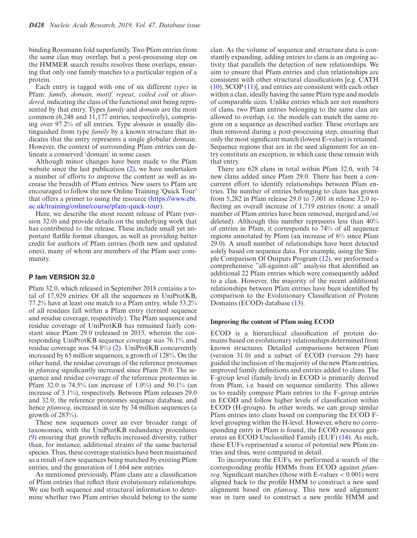binding Rossmann fold superfamily. Two Pfam entries from the same clan may overlap, but a post-processing step on the HMMER search results resolves these overlaps, ensuring that only one family matches to a particular region of a protein.

Each entry is tagged with one of six different *types* in Pfam: *family, domain, motif, repeat, coiled coil* or *disordered*, indicating the class of the functional unit being represented by that entry. Types *family* and *domain* are the most common (6,248 and 11,177 entries, respectively), comprising over 97.2% of all entries. Type *domain* is usually distinguished from type *family* by a known structure that indicates that the entry represents a single globular domain. However, the context of surrounding Pfam entries can delineate a conserved 'domain' in some cases.

Although minor changes have been made to the Pfam website since the last publication [\(2\)](#page-5-0), we have undertaken a number of efforts to improve the content as well as increase the breadth of Pfam entries. New users to Pfam are encouraged to follow the new Online Training 'Quick Tour' [that offers a primer to using the resource \(https://www.ebi.](https://www.ebi.ac.uk/training/online/course/pfam-quick-tour) ac.uk/training/online/course/pfam-quick-tour).

Here, we describe the most recent release of Pfam (version 32.0) and provide details on the underlying work that has contributed to the release. These include small yet important flatfile format changes, as well as providing better credit for authors of Pfam entries (both new and updated ones), many of whom are members of the Pfam user community.

### **P fam VERSION 32.0**

Pfam 32.0, which released in September 2018 contains a total of 17,929 entries. Of all the sequences in UniProtKB, 77.2% have at least one match to a Pfam entry, while 53.2% of all residues fall within a Pfam entry (termed sequence and residue coverage, respectively). The Pfam sequence and residue coverage of UniProtKB has remained fairly constant since Pfam 29.0 (released in 2015, wherein the corresponding UniProtKB sequence coverage was 76.1% and residue coverage was 54.8%) [\(2\)](#page-5-0). UniProtKB concurrently increased by 65 million sequences, a growth of 128%. On the other hand, the residue coverage of the reference proteomes in *pfamseq* significantly increased since Pfam 29.0. The sequence and residue coverage of the reference proteomes in Pfam 32.0 is 74.5% (an increase of 1.0%) and 50.1% (an increase of 3.1%), respectively. Between Pfam releases 29.0 and 32.0, the reference proteomes sequence database, and hence *pfamseq*, increased in size by 34 million sequences (a growth of 283%).

These new sequences cover an ever broader range of taxonomies, with the UniProtKB redundancy procedures [\(9\)](#page-5-0) ensuring that growth reflects increased diversity, rather than, for instance, additional strains of the same bacterial species. Thus, these coverage statistics have been maintained as a result of new sequences being matched by existing Pfam entries, and the generation of 1,664 new entries.

As mentioned previously, Pfam clans are a classification of Pfam entries that reflect their evolutionary relationships. We use both sequence and structural information to determine whether two Pfam entries should belong to the same

clan. As the volume of sequence and structure data is constantly expanding, adding entries to clans is an ongoing activity that parallels the detection of new relationships. We aim to ensure that Pfam entries and clan relationships are consistent with other structural classifications [e.g. CATH  $(10)$ , SCOP  $(11)$ ], and entries are consistent with each other within a clan, ideally having the same Pfam type and models of comparable sizes. Unlike entries which are not members of clans, two Pfam entries belonging to the same clan are allowed to overlap, i.e*.* the models can match the same region on a sequence as described earlier. These overlaps are then removed during a post-processing step, ensuring that only the most significant match (lowest E-value) is retained. Sequence regions that are in the seed alignment for an entry constitute an exception, in which case these remain with that entry.

There are 628 clans in total within Pfam 32.0, with 74 new clans added since Pfam 29.0. There has been a concurrent effort to identify relationships between Pfam entries. The number of entries belonging to clans has grown from 5,282 in Pfam release 29.0 to 7,001 in release 32.0 reflecting an overall increase of 1,719 entries (note: a small number of Pfam entries have been removed, merged and/or deleted). Although this number represents less than 40% of entries in Pfam, it corresponds to 74% of all sequence regions annotated by Pfam (an increase of 6% since Pfam 29.0). A small number of relationships have been detected solely based on sequence data. For example, using the Simple Comparison Of Outputs Program [\(12\)](#page-5-0), we performed a comprehensive "all-against-all" analysis that identified an additional 22 Pfam entries which were consequently added to a clan. However, the majority of the recent additional relationships between Pfam entries have been identified by comparison to the Evolutionary Classification of Protein Domains (ECOD) database [\(13\)](#page-5-0).

### **Improving the content of Pfam using ECOD**

ECOD is a hierarchical classification of protein domains based on evolutionary relationships determined from known structures. Detailed comparisons between Pfam (version 31.0) and a subset of ECOD (version 29) have guided the inclusion of the majority of the new Pfam entries, improved family definitions and entries added to clans. The F-group level (family level) in ECOD is primarily derived from Pfam, i.e. based on sequence similarity. This allows us to readily compare Pfam entries to the F-group entries in ECOD and follow higher levels of classification within ECOD (H-groups). In other words, we can group similar Pfam entries into clans based on comparing the ECOD Flevel grouping within the H-level. However, where no corresponding entry in Pfam is found, the ECOD resource generates an ECOD Unclassified Family (EUF) [\(14\)](#page-5-0). As such, these EUFs represented a source of potential new Pfam entries and thus, were compared in detail.

To incorporate the EUFs, we performed a search of the corresponding profile HMMs from ECOD against *pfamseq*. Significant matches (those with E-values < 0.001) were aligned back to the profile HMM to construct a new seed alignment based on *pfamseq*. This new seed alignment was in turn used to construct a new profile HMM and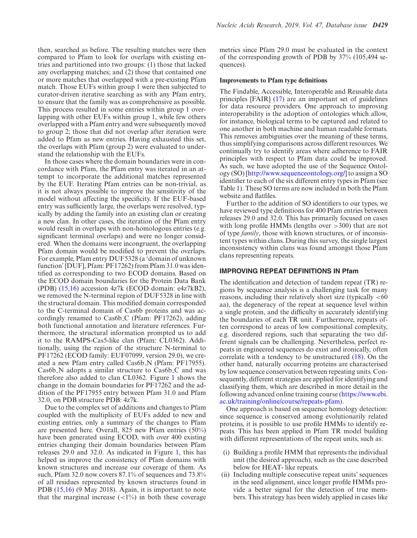then, searched as before. The resulting matches were then compared to Pfam to look for overlaps with existing entries and partitioned into two groups: (1) those that lacked any overlapping matches; and (2) those that contained one or more matches that overlapped with a pre-existing Pfam match. Those EUFs within group 1 were then subjected to curator-driven iterative searching as with any Pfam entry, to ensure that the family was as comprehensive as possible. This process resulted in some entries within group 1 overlapping with other EUFs within group 1, while few others overlapped with a Pfam entry and were subsequently moved to group 2; those that did not overlap after iteration were added to Pfam as new entries. Having exhausted this set, the overlaps with Pfam (group 2) were evaluated to understand the relationship with the EUFs.

In those cases where the domain boundaries were in concordance with Pfam, the Pfam entry was iterated in an attempt to incorporate the additional matches represented by the EUF. Iterating Pfam entries can be non-trivial, as it is not always possible to improve the sensitivity of the model without affecting the specificity. If the EUF-based entry was sufficiently large, the overlaps were resolved, typically by adding the family into an existing clan or creating a new clan. In other cases, the iteration of the Pfam entry would result in overlaps with non-homologous entries (e.g. significant terminal overlaps) and were no longer considered. When the domains were incongruent, the overlapping Pfam domain would be modified to prevent the overlaps. For example, Pfam entry DUF5328 (a 'domain of unknown function' [DUF], Pfam: PF17262) from Pfam 31.0 was identified as corresponding to two ECOD domains. Based on the ECOD domain boundaries for the Protein Data Bank (PDB) [\(15,16\)](#page-5-0) accession 4z7k (ECOD domain: e4z7kB2), we removed the N-terminal region of DUF5328 in line with the structural domain. This modified domain corresponded to the C-terminal domain of Cas6b proteins and was accordingly renamed to Cas6b<sub>-C</sub> (Pfam: PF17262), adding both functional annotation and literature references. Furthermore, the structural information prompted us to add it to the RAMPS-Cas5-like clan (Pfam: CL0362). Additionally, using the region of the structure N-terminal to PF17262 (ECOD family: EUF07099, version 29.0), we created a new Pfam entry called Cas6b<sub>N</sub> (Pfam: PF17955). Cas6b<sub>-</sub>N adopts a similar structure to Cas6b<sub>-C</sub> and was therefore also added to clan CL0362. Figure [1](#page-3-0) shows the change in the domain boundaries for PF17262 and the addition of the PF17955 entry between Pfam 31.0 and Pfam 32.0, on PDB structure PDB: 4z7k.

Due to the complex set of additions and changes to Pfam coupled with the multiplicity of EUFs added to new and existing entries, only a summary of the changes to Pfam are presented here. Overall, 825 new Pfam entries (50%) have been generated using ECOD, with over 400 existing entries changing their domain boundaries between Pfam releases 29.0 and 32.0. As indicated in Figure [1,](#page-3-0) this has helped us improve the consistency of Pfam domains with known structures and increase our coverage of them. As such, Pfam 32.0 now covers 87.1% of sequences and 73.8% of all residues represented by known structures found in PDB [\(15,16\)](#page-5-0) (9 May 2018). Again, it is important to note that the marginal increase  $\left($  < 1%) in both these coverage metrics since Pfam 29.0 must be evaluated in the context of the corresponding growth of PDB by 37% (105,494 sequences).

#### **Improvements to Pfam type definitions**

The Findable, Accessible, Interoperable and Reusable data principles [FAIR] [\(17\)](#page-5-0) are an important set of guidelines for data resource providers. One approach to improving interoperability is the adoption of ontologies which allow, for instance, biological terms to be captured and related to one another in both machine and human readable formats. This removes ambiguities over the meaning of these terms, thus simplifying comparisons across different resources. We continually try to identify areas where adherence to FAIR principles with respect to Pfam data could be improved. As such, we have adopted the use of the Sequence Ontology (SO) [\[http://www.sequenceontology.org/\]](http://www.sequenceontology.org/) to assign a SO identifier to each of the six different entry types in Pfam (see Table [1\)](#page-3-0). These SO terms are now included in both the Pfam website and flatfiles.

Further to the addition of SO identifiers to our types, we have reviewed type definitions for 400 Pfam entries between releases 29.0 and 32.0. This has primarily focused on cases with long profile HMMs (lengths over  $>300$ ) that are not of type *family*, those with known structures, or of inconsistent types within clans. During this survey, the single largest inconsistency within clans was found amongst those Pfam clans representing repeats.

#### **IMPROVING REPEAT DEFINITIONS IN Pfam**

The identification and detection of tandem repeat (TR) regions by sequence analysis is a challenging task for many reasons, including their relatively short size (typically  $<60$ ) aa), the degeneracy of the repeat at sequence level within a single protein, and the difficulty in accurately identifying the boundaries of each TR unit. Furthermore, repeats often correspond to areas of low compositional complexity, e.g. disordered regions, such that separating the two different signals can be challenging. Nevertheless, perfect repeats in engineered sequences do exist and ironically, often correlate with a tendency to be unstructured [\(18\)](#page-5-0). On the other hand, naturally occurring proteins are characterised by low sequence conservation between repeating units. Consequently, different strategies are applied for identifying and classifying them, which are described in more detail in the [following advanced online training course \(https://www.ebi.](https://www.ebi.ac.uk/training/online/course/repeats-pfam) ac.uk/training/online/course/repeats-pfam).

One approach is based on sequence homology detection: since sequence is conserved among evolutionarily related proteins, it is possible to use profile HMMs to identify repeats. This has been applied in Pfam TR model building with different representations of the repeat units, such as:

- (i) Building a profile HMM that represents the individual unit (the desired approach), such as the case described below for HEAT- like repeats.
- (ii) Including multiple consecutive repeat units' sequences in the seed alignment, since longer profile HMMs provide a better signal for the detection of true members. This strategy has been widely applied in cases like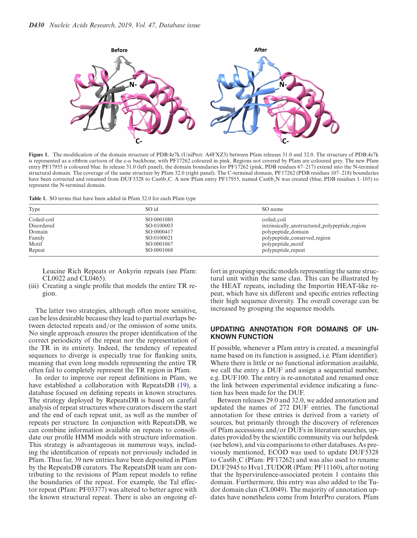<span id="page-3-0"></span>

**Figure 1.** The modification of the domain structure of PDB:4z7k (UniProt: A4FXZ3) between Pfam releases 31.0 and 32.0. The structure of PDB:4z7k is represented as a ribbon cartoon of the c- $\alpha$  backbone, with PF17262 coloured in pink. Regions not covered by Pfam are coloured grey. The new Pfam entry PF17955 is coloured blue. In release 31.0 (left panel), the domain boundaries for PF17262 (pink, PDB residues 67–217) extend into the N-terminal structural domain. The coverage of the same structure by Pfam 32.0 (right panel). The C-terminal domain, PF17262 (PDB residues 107–218) boundaries have been corrected and renamed from DUF5328 to Cas6b<sub>-C</sub>. A new Pfam entry PF17955, named Cas6b<sub>-N</sub> was created (blue, PDB residues 1–105) to represent the N-terminal domain.

**Table 1.** SO terms that have been added in Pfam 32.0 for each Pfam type

| Type        | SO id      | SO name                                       |
|-------------|------------|-----------------------------------------------|
| Coiled-coil | SO:0001080 | coiled_coil                                   |
| Disordered  | SO:0100003 | intrinsically_unstructured_polypeptide_region |
| Domain      | SO:0000417 | polypeptide_domain                            |
| Family      | SO:0100021 | polypeptide_conserved_region                  |
| Motif       | SO:0001067 | polypeptide_motif                             |
| Repeat      | SO:0001068 | polypeptide_repeat                            |

Leucine Rich Repeats or Ankyrin repeats (see Pfam: CL0022 and CL0465).

(iii) Creating a single profile that models the entire TR region.

The latter two strategies, although often more sensitive, can be less desirable because they lead to partial overlaps between detected repeats and/or the omission of some units. No single approach ensures the proper identification of the correct periodicity of the repeat nor the representation of the TR in its entirety. Indeed, the tendency of repeated sequences to diverge is especially true for flanking units, meaning that even long models representing the entire TR often fail to completely represent the TR region in Pfam.

In order to improve our repeat definitions in Pfam, we have established a collaboration with RepeatsDB [\(19\)](#page-5-0), a database focused on defining repeats in known structures. The strategy deployed by RepeatsDB is based on careful analysis of repeat structures where curators discern the start and the end of each repeat unit, as well as the number of repeats per structure. In conjunction with RepeatsDB, we can combine information available on repeats to consolidate our profile HMM models with structure information. This strategy is advantageous in numerous ways, including the identification of repeats not previously included in Pfam. Thus far, 39 new entries have been deposited in Pfam by the RepeatsDB curators. The RepeatsDB team are contributing to the revisions of Pfam repeat models to refine the boundaries of the repeat. For example, the Tal effector repeat (Pfam: PF03377) was altered to better agree with the known structural repeat. There is also an ongoing effort in grouping specific models representing the same structural unit within the same clan. This can be illustrated by the HEAT repeats, including the Importin HEAT-like repeat, which have six different and specific entries reflecting their high sequence diversity. The overall coverage can be increased by grouping the sequence models.

## **UPDATING ANNOTATION FOR DOMAINS OF UN-KNOWN FUNCTION**

If possible, whenever a Pfam entry is created, a meaningful name based on its function is assigned, i.e. Pfam identifier). Where there is little or no functional information available, we call the entry a DUF and assign a sequential number, e.g. DUF100. The entry is re-annotated and renamed once the link between experimental evidence indicating a function has been made for the DUF.

Between releases 29.0 and 32.0, we added annotation and updated the names of 272 DUF entries. The functional annotation for these entries is derived from a variety of sources, but primarily through the discovery of references of Pfam accessions and/or DUFs in literature searches, updates provided by the scientific community via our helpdesk (see below), and via comparisons to other databases. As previously mentioned, ECOD was used to update DUF5328 to Cas6b C (Pfam: PF17262) and was also used to rename DUF2945 to Hva1 TUDOR (Pfam: PF11160), after noting that the hypervirulence-associated protein 1 contains this domain. Furthermore, this entry was also added to the Tudor domain clan (CL0049). The majority of annotation updates have nonetheless come from InterPro curators. Pfam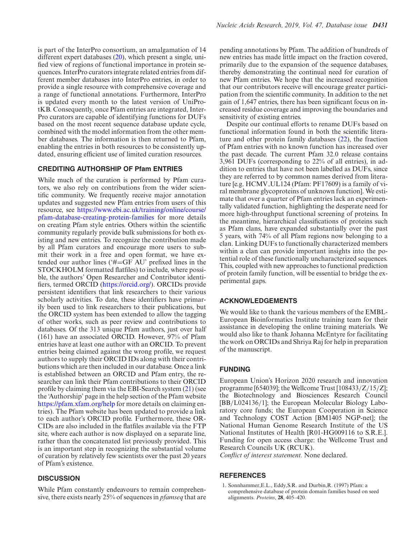<span id="page-4-0"></span>is part of the InterPro consortium, an amalgamation of 14 different expert databases [\(20\)](#page-5-0), which present a single, unified view of regions of functional importance in protein sequences. InterPro curators integrate related entries from different member databases into InterPro entries, in order to provide a single resource with comprehensive coverage and a range of functional annotations. Furthermore, InterPro is updated every month to the latest version of UniProtKB. Consequently, once Pfam entries are integrated, Inter-Pro curators are capable of identifying functions for DUFs based on the most recent sequence database update cycle, combined with the model information from the other member databases. The information is then returned to Pfam, enabling the entries in both resources to be consistently updated, ensuring efficient use of limited curation resources.

# **CREDITING AUTHORSHIP OF Pfam ENTRIES**

While much of the curation is performed by Pfam curators, we also rely on contributions from the wider scientific community. We frequently receive major annotation updates and suggested new Pfam entries from users of this resource, see [https://www.ebi.ac.uk/training/online/course/](https://www.ebi.ac.uk/training/online/course/pfam-database-creating-protein-families) pfam-database-creating-protein-families for more details on creating Pfam style entries. Others within the scientific community regularly provide bulk submissions for both existing and new entries. To recognize the contribution made by all Pfam curators and encourage more users to submit their work in a free and open format, we have extended our author lines ('#=GF AU' prefixed lines in the STOCKHOLM formatted flatfiles) to include, where possible, the authors' Open Researcher and Contributor identifiers, termed ORCID [\(https://orcid.org/\)](https://orcid.org/). ORCIDs provide persistent identifiers that link researchers to their various scholarly activities. To date, these identifiers have primarily been used to link researchers to their publications, but the ORCID system has been extended to allow the tagging of other works, such as peer review and contributions to databases. Of the 313 unique Pfam authors, just over half (161) have an associated ORCID. However, 97% of Pfam entries have at least one author with an ORCID. To prevent entries being claimed against the wrong profile, we request authors to supply their ORCID IDs along with their contributions which are then included in our database. Once a link is established between an ORCID and Pfam entry, the researcher can link their Pfam contributions to their ORCID profile by claiming them via the EBI-Search system [\(21\)](#page-5-0) (see the 'Authorship' page in the help section of the Pfam website <https://pfam.xfam.org/help> for more details on claiming entries). The Pfam website has been updated to provide a link to each author's ORCID profile. Furthermore, these OR-CIDs are also included in the flatfiles available via the FTP site, where each author is now displayed on a separate line, rather than the concatenated list previously provided. This is an important step in recognizing the substantial volume of curation by relatively few scientists over the past 20 years of Pfam's existence.

# **DISCUSSION**

While Pfam constantly endeavours to remain comprehensive, there exists nearly 25% of sequences in *pfamseq* that are pending annotations by Pfam. The addition of hundreds of new entries has made little impact on the fraction covered, primarily due to the expansion of the sequence databases, thereby demonstrating the continual need for curation of new Pfam entries. We hope that the increased recognition that our contributors receive will encourage greater participation from the scientific community. In addition to the net gain of 1,647 entries, there has been significant focus on increased residue coverage and improving the boundaries and sensitivity of existing entries.

Despite our continual efforts to rename DUFs based on functional information found in both the scientific literature and other protein family databases [\(22\)](#page-5-0), the fraction of Pfam entries with no known function has increased over the past decade. The current Pfam 32.0 release contains 3,961 DUFs (corresponding to 22% of all entries), in addition to entries that have not been labelled as DUFs, since they are referred to by common names derived from literature [e.g. HCMV\_UL124 (Pfam: PF17609) is a family of viral membrane glycoproteins of unknown function]. We estimate that over a quarter of Pfam entries lack an experimentally validated function, highlighting the desperate need for more high-throughput functional screening of proteins. In the meantime, hierarchical classifications of proteins such as Pfam clans, have expanded substantially over the past 5 years, with 74% of all Pfam regions now belonging to a clan. Linking DUFs to functionally characterized members within a clan can provide important insights into the potential role of these functionally uncharacterized sequences. This, coupled with new approaches to functional prediction of protein family function, will be essential to bridge the experimental gaps.

# **ACKNOWLEDGEMENTS**

We would like to thank the various members of the EMBL-European Bioinformatics Institute training team for their assistance in developing the online training materials. We would also like to thank Johanna McEntyre for facilitating the work on ORCIDs and Shriya Raj for help in preparation of the manuscript.

# **FUNDING**

European Union's Horizon 2020 research and innovation programme [654039]; the Wellcome Trust [108433/Z/15/Z]; the Biotechnology and Biosciences Research Council [BB/L024136/1]; the European Molecular Biology Laboratory core funds; the European Cooperation in Science and Technology COST Action [BM1405 NGP-net]; the National Human Genome Research Institute of the US National Institutes of Health [R01-HG009116 to S.R.E.]. Funding for open access charge: the Wellcome Trust and Research Councils UK (RCUK).

*Conflict of interest statement.* None declared.

## **REFERENCES**

1. Sonnhammer,E.L., Eddy,S.R. and Durbin,R. (1997) Pfam: a comprehensive database of protein domain families based on seed alignments. *Proteins*, **28**, 405–420.